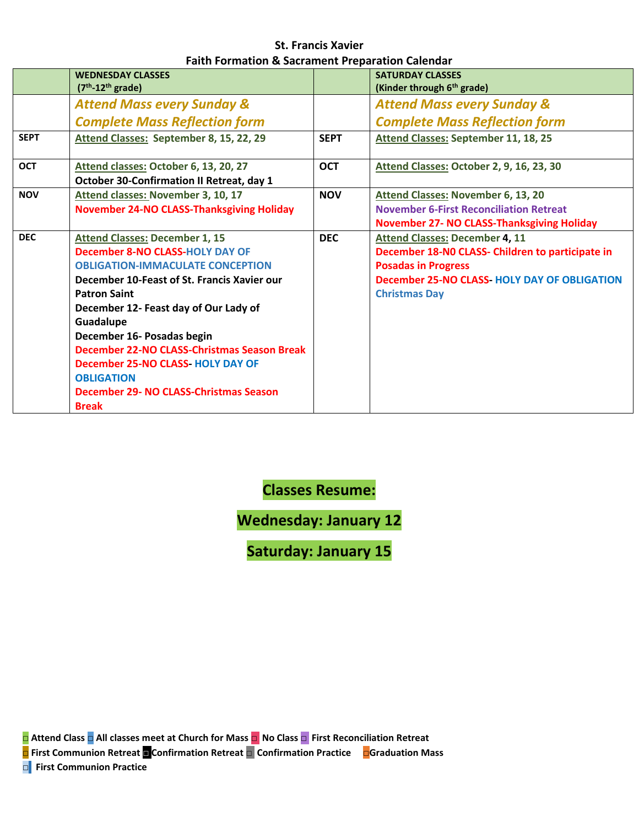#### **St. Francis Xavier Faith Formation & Sacrament Preparation Calendar**

|             | <b>WEDNESDAY CLASSES</b><br>$(7th-12th grade)$                                                                                                                                                                                                                                                                                                                                                                                                                |             | <b>SATURDAY CLASSES</b><br>(Kinder through 6 <sup>th</sup> grade)                                                                                                                                     |
|-------------|---------------------------------------------------------------------------------------------------------------------------------------------------------------------------------------------------------------------------------------------------------------------------------------------------------------------------------------------------------------------------------------------------------------------------------------------------------------|-------------|-------------------------------------------------------------------------------------------------------------------------------------------------------------------------------------------------------|
|             | <b>Attend Mass every Sunday &amp;</b>                                                                                                                                                                                                                                                                                                                                                                                                                         |             | <b>Attend Mass every Sunday &amp;</b>                                                                                                                                                                 |
|             | <b>Complete Mass Reflection form</b>                                                                                                                                                                                                                                                                                                                                                                                                                          |             | <b>Complete Mass Reflection form</b>                                                                                                                                                                  |
| <b>SEPT</b> | Attend Classes: September 8, 15, 22, 29                                                                                                                                                                                                                                                                                                                                                                                                                       | <b>SEPT</b> | <b>Attend Classes: September 11, 18, 25</b>                                                                                                                                                           |
| <b>OCT</b>  | Attend classes: October 6, 13, 20, 27<br><b>October 30-Confirmation II Retreat, day 1</b>                                                                                                                                                                                                                                                                                                                                                                     | <b>OCT</b>  | Attend Classes: October 2, 9, 16, 23, 30                                                                                                                                                              |
| <b>NOV</b>  | Attend classes: November 3, 10, 17<br><b>November 24-NO CLASS-Thanksgiving Holiday</b>                                                                                                                                                                                                                                                                                                                                                                        | <b>NOV</b>  | Attend Classes: November 6, 13, 20<br><b>November 6-First Reconciliation Retreat</b><br><b>November 27- NO CLASS-Thanksgiving Holiday</b>                                                             |
| <b>DEC</b>  | <b>Attend Classes: December 1, 15</b><br><b>December 8-NO CLASS-HOLY DAY OF</b><br><b>OBLIGATION-IMMACULATE CONCEPTION</b><br>December 10-Feast of St. Francis Xavier our<br><b>Patron Saint</b><br>December 12- Feast day of Our Lady of<br>Guadalupe<br>December 16- Posadas begin<br>December 22-NO CLASS-Christmas Season Break<br><b>December 25-NO CLASS-HOLY DAY OF</b><br><b>OBLIGATION</b><br>December 29- NO CLASS-Christmas Season<br><b>Break</b> | <b>DEC</b>  | <b>Attend Classes: December 4, 11</b><br>December 18-NO CLASS- Children to participate in<br><b>Posadas in Progress</b><br><b>December 25-NO CLASS-HOLY DAY OF OBLIGATION</b><br><b>Christmas Day</b> |

**Classes Resume:**

**Wednesday: January 12**

**Saturday: January 15**